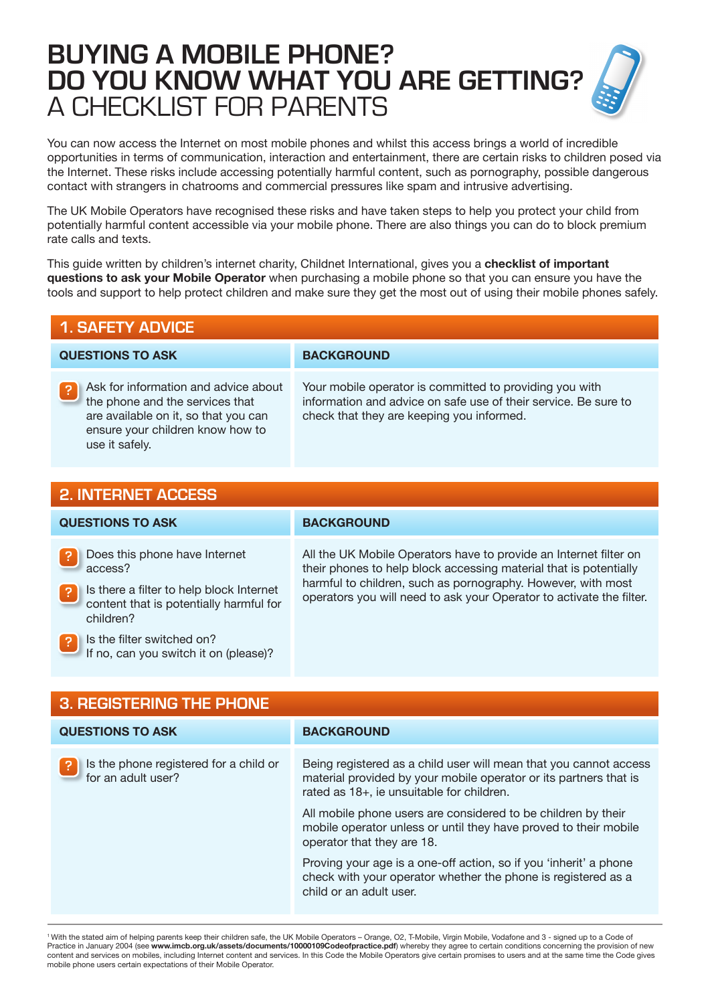## **BUYING A MOBILE PHONE? DO YOU KNOW WHAT YOU ARE GETTING?**  A CHECKLIST FOR PARENTS

You can now access the Internet on most mobile phones and whilst this access brings a world of incredible opportunities in terms of communication, interaction and entertainment, there are certain risks to children posed via the Internet. These risks include accessing potentially harmful content, such as pornography, possible dangerous contact with strangers in chatrooms and commercial pressures like spam and intrusive advertising.

The UK Mobile Operators have recognised these risks and have taken steps to help you protect your child from potentially harmful content accessible via your mobile phone. There are also things you can do to block premium rate calls and texts.

This guide written by children's internet charity, Childnet International, gives you a **checklist of important questions to ask your Mobile Operator** when purchasing a mobile phone so that you can ensure you have the tools and support to help protect children and make sure they get the most out of using their mobile phones safely.

| <b>1. SAFETY ADVICE</b>                                                                                                                                               |                                                                                                                                                                         |
|-----------------------------------------------------------------------------------------------------------------------------------------------------------------------|-------------------------------------------------------------------------------------------------------------------------------------------------------------------------|
| <b>QUESTIONS TO ASK</b>                                                                                                                                               | <b>BACKGROUND</b>                                                                                                                                                       |
| Ask for information and advice about<br>the phone and the services that<br>are available on it, so that you can<br>ensure your children know how to<br>use it safely. | Your mobile operator is committed to providing you with<br>information and advice on safe use of their service. Be sure to<br>check that they are keeping you informed. |

| <b>2. INTERNET ACCESS</b>                                                                                                                    |                                                                                                                                                                                                                                                                                |
|----------------------------------------------------------------------------------------------------------------------------------------------|--------------------------------------------------------------------------------------------------------------------------------------------------------------------------------------------------------------------------------------------------------------------------------|
| <b>QUESTIONS TO ASK</b>                                                                                                                      | <b>BACKGROUND</b>                                                                                                                                                                                                                                                              |
| Does this phone have Internet<br>access?<br>Is there a filter to help block Internet<br>content that is potentially harmful for<br>children? | All the UK Mobile Operators have to provide an Internet filter on<br>their phones to help block accessing material that is potentially<br>harmful to children, such as pornography. However, with most<br>operators you will need to ask your Operator to activate the filter. |
| Is the filter switched on?<br>If no, can you switch it on (please)?                                                                          |                                                                                                                                                                                                                                                                                |

| <b>3. REGISTERING THE PHONE</b>                              |                                                                                                                                                                                     |
|--------------------------------------------------------------|-------------------------------------------------------------------------------------------------------------------------------------------------------------------------------------|
| <b>QUESTIONS TO ASK</b>                                      | <b>BACKGROUND</b>                                                                                                                                                                   |
| Is the phone registered for a child or<br>for an adult user? | Being registered as a child user will mean that you cannot access<br>material provided by your mobile operator or its partners that is<br>rated as 18+, ie unsuitable for children. |
|                                                              | All mobile phone users are considered to be children by their<br>mobile operator unless or until they have proved to their mobile<br>operator that they are 18.                     |
|                                                              | Proving your age is a one-off action, so if you 'inherit' a phone<br>check with your operator whether the phone is registered as a<br>child or an adult user.                       |

1 With the stated aim of helping parents keep their children safe, the UK Mobile Operators – Orange, O2, T-Mobile, Virgin Mobile, Vodafone and 3 - signed up to a Code of Practice in January 2004 (see **www.imcb.org.uk/assets/documents/10000109Codeofpractice.pdf**) whereby they agree to certain conditions concerning the provision of new content and services on mobiles, including Internet content and services. In this Code the Mobile Operators give certain promises to users and at the same time the Code gives mobile phone users certain expectations of their Mobile Operator.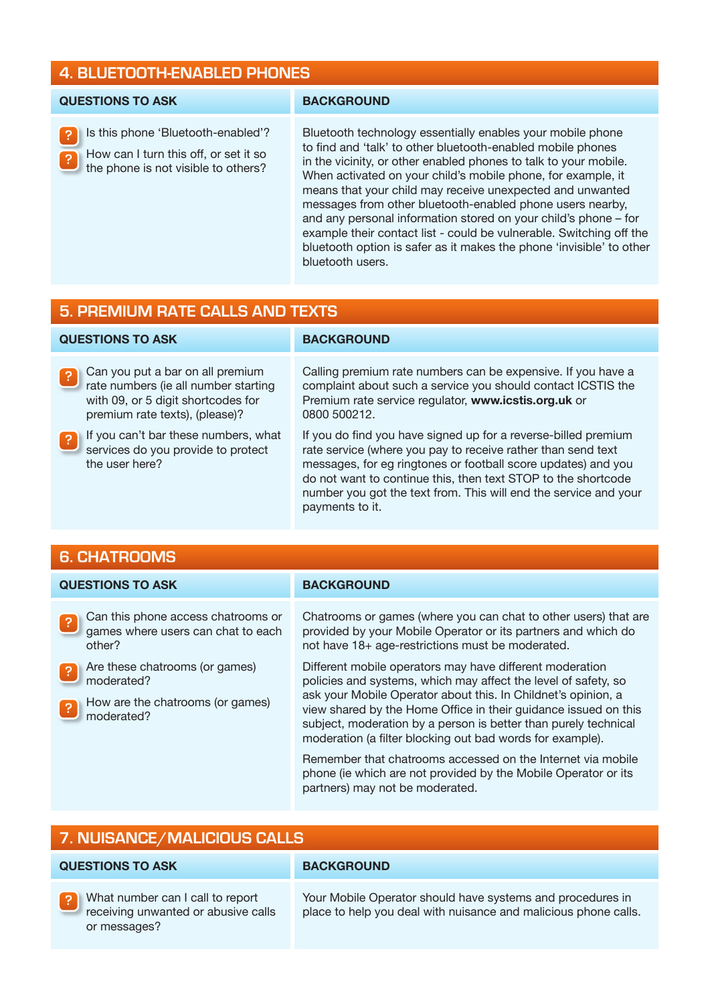## **4. BLUETOOTH-ENABLED PHONES**

| <b>QUESTIONS TO ASK</b>                                                                                                 | <b>BACKGROUND</b>                                                                                                                                                                                                                                                                                                                                                                                                                                                                                                                                                                                                             |
|-------------------------------------------------------------------------------------------------------------------------|-------------------------------------------------------------------------------------------------------------------------------------------------------------------------------------------------------------------------------------------------------------------------------------------------------------------------------------------------------------------------------------------------------------------------------------------------------------------------------------------------------------------------------------------------------------------------------------------------------------------------------|
| Is this phone 'Bluetooth-enabled'?<br>How can I turn this off, or set it so<br>B<br>the phone is not visible to others? | Bluetooth technology essentially enables your mobile phone<br>to find and 'talk' to other bluetooth-enabled mobile phones<br>in the vicinity, or other enabled phones to talk to your mobile.<br>When activated on your child's mobile phone, for example, it<br>means that your child may receive unexpected and unwanted<br>messages from other bluetooth-enabled phone users nearby,<br>and any personal information stored on your child's phone - for<br>example their contact list - could be vulnerable. Switching off the<br>bluetooth option is safer as it makes the phone 'invisible' to other<br>bluetooth users. |
| <b>5. PREMIUM RATE CALLS AND TEXTS</b>                                                                                  |                                                                                                                                                                                                                                                                                                                                                                                                                                                                                                                                                                                                                               |
| <b>QUESTIONS TO ASK</b>                                                                                                 | <b>BACKGROUND</b>                                                                                                                                                                                                                                                                                                                                                                                                                                                                                                                                                                                                             |

| <b>WULDTIONS TO ASN</b>                                                                                                                          | <b>UAVINUINUUNU</b>                                                                                                                                                                                                                                                                                                                                     |
|--------------------------------------------------------------------------------------------------------------------------------------------------|---------------------------------------------------------------------------------------------------------------------------------------------------------------------------------------------------------------------------------------------------------------------------------------------------------------------------------------------------------|
| Can you put a bar on all premium<br>rate numbers (ie all number starting<br>with 09, or 5 digit shortcodes for<br>premium rate texts), (please)? | Calling premium rate numbers can be expensive. If you have a<br>complaint about such a service you should contact ICSTIS the<br>Premium rate service regulator, www.icstis.org.uk or<br>0800 500212.                                                                                                                                                    |
| If you can't bar these numbers, what<br>services do you provide to protect<br>the user here?                                                     | If you do find you have signed up for a reverse-billed premium<br>rate service (where you pay to receive rather than send text<br>messages, for eg ringtones or football score updates) and you<br>do not want to continue this, then text STOP to the shortcode<br>number you got the text from. This will end the service and your<br>payments to it. |

| <b>6. CHATROOMS</b>                                                                                  |                                                                                                                                                                                                                                                                                                                                                                                                |
|------------------------------------------------------------------------------------------------------|------------------------------------------------------------------------------------------------------------------------------------------------------------------------------------------------------------------------------------------------------------------------------------------------------------------------------------------------------------------------------------------------|
| <b>QUESTIONS TO ASK</b>                                                                              | <b>BACKGROUND</b>                                                                                                                                                                                                                                                                                                                                                                              |
| Can this phone access chatrooms or<br>games where users can chat to each<br>other?                   | Chatrooms or games (where you can chat to other users) that are<br>provided by your Mobile Operator or its partners and which do<br>not have 18+ age-restrictions must be moderated.                                                                                                                                                                                                           |
| Are these chatrooms (or games)<br>-?<br>moderated?<br>How are the chatrooms (or games)<br>moderated? | Different mobile operators may have different moderation<br>policies and systems, which may affect the level of safety, so<br>ask your Mobile Operator about this. In Childnet's opinion, a<br>view shared by the Home Office in their guidance issued on this<br>subject, moderation by a person is better than purely technical<br>moderation (a filter blocking out bad words for example). |
|                                                                                                      | Remember that chatrooms accessed on the Internet via mobile<br>phone (ie which are not provided by the Mobile Operator or its<br>partners) may not be moderated.                                                                                                                                                                                                                               |

| 7. NUISANCE/MALICIOUS CALLS       |                                                            |
|-----------------------------------|------------------------------------------------------------|
| <b>QUESTIONS TO ASK</b>           | <b>BACKGROUND</b>                                          |
| a Mhat number can Loall to report | Vour Mobile Operator should have systems and procedures in |

## What number can I call to report receiving unwanted or abusive calls or messages? **?**

Your Mobile Operator should have systems and procedures in place to help you deal with nuisance and malicious phone calls.